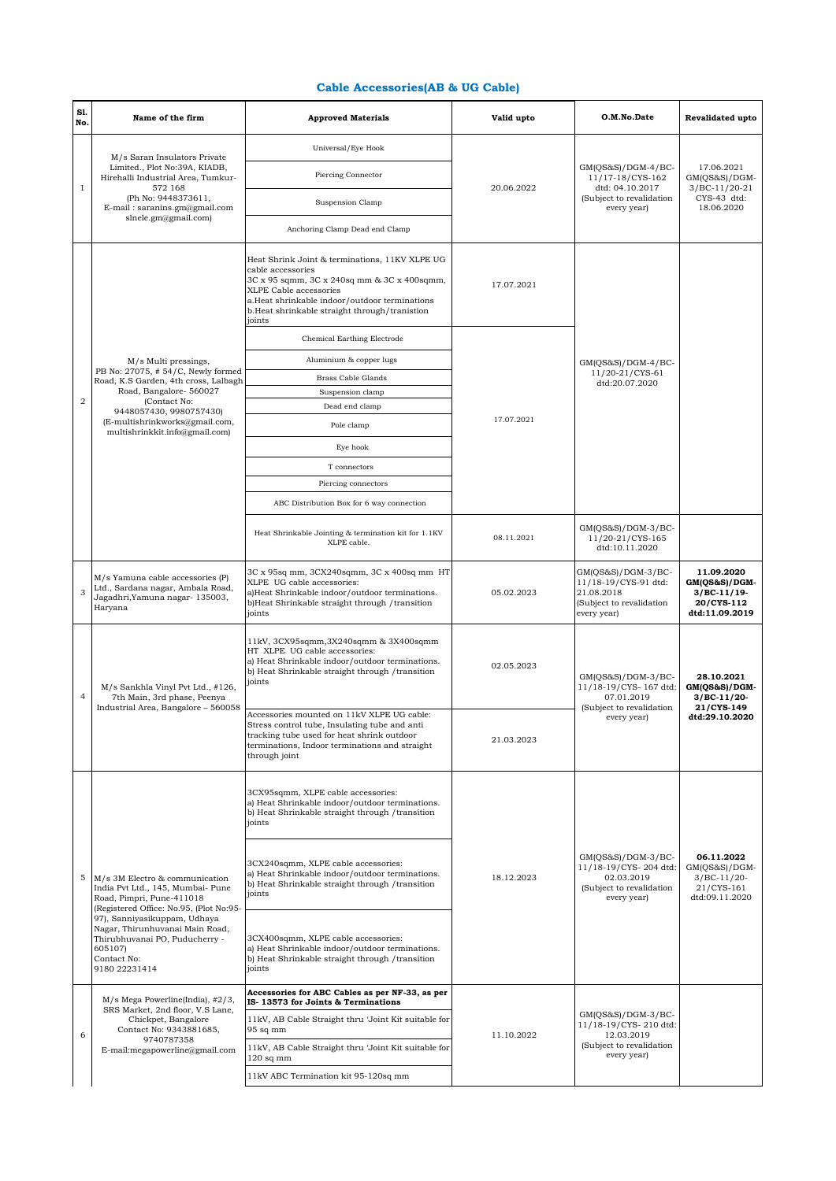## **Cable Accessories(AB & UG Cable)**

| S1.<br>No.     | Name of the firm                                                                                                                                                                                                                                                                            | <b>Approved Materials</b>                                                                                                                                                                                                                                | Valid upto | O.M.No.Date                                                                                            | Revalidated upto                                                             |
|----------------|---------------------------------------------------------------------------------------------------------------------------------------------------------------------------------------------------------------------------------------------------------------------------------------------|----------------------------------------------------------------------------------------------------------------------------------------------------------------------------------------------------------------------------------------------------------|------------|--------------------------------------------------------------------------------------------------------|------------------------------------------------------------------------------|
|                | M/s Saran Insulators Private<br>Limited., Plot No:39A, KIADB,<br>Hirehalli Industrial Area, Tumkur-<br>572 168<br>(Ph No: 9448373611,<br>E-mail: saranins.gm@gmail.com<br>slnele.gm@gmail.com)                                                                                              | Universal/Eye Hook                                                                                                                                                                                                                                       | 20.06.2022 |                                                                                                        |                                                                              |
| $\,1\,$        |                                                                                                                                                                                                                                                                                             | Piercing Connector                                                                                                                                                                                                                                       |            | $GM(QS&S)/DGM-4/BC-$<br>11/17-18/CYS-162<br>dtd: 04.10.2017<br>(Subject to revalidation<br>every year) | 17.06.2021<br>GM(QS&S)/DGM-<br>3/BC-11/20-21<br>CYS-43 dtd:<br>18.06.2020    |
|                |                                                                                                                                                                                                                                                                                             | Suspension Clamp                                                                                                                                                                                                                                         |            |                                                                                                        |                                                                              |
|                |                                                                                                                                                                                                                                                                                             | Anchoring Clamp Dead end Clamp                                                                                                                                                                                                                           |            |                                                                                                        |                                                                              |
|                |                                                                                                                                                                                                                                                                                             | Heat Shrink Joint & terminations, 11KV XLPE UG<br>cable accessories<br>3C x 95 sqmm, 3C x 240sq mm & 3C x 400sqmm,<br>XLPE Cable accessories<br>a.Heat shrinkable indoor/outdoor terminations<br>b.Heat shrinkable straight through/tranistion<br>joints | 17.07.2021 |                                                                                                        |                                                                              |
|                |                                                                                                                                                                                                                                                                                             | Chemical Earthing Electrode                                                                                                                                                                                                                              |            | $GM(QS&S)/DGM-4/BC-$<br>11/20-21/CYS-61<br>dtd:20.07.2020                                              |                                                                              |
|                | M/s Multi pressings,                                                                                                                                                                                                                                                                        | Aluminium & copper lugs                                                                                                                                                                                                                                  |            |                                                                                                        |                                                                              |
|                | PB No: 27075, #54/C, Newly formed<br>Road, K.S Garden, 4th cross, Lalbagh                                                                                                                                                                                                                   | Brass Cable Glands                                                                                                                                                                                                                                       |            |                                                                                                        |                                                                              |
| $\overline{a}$ | Road, Bangalore- 560027<br>(Contact No:                                                                                                                                                                                                                                                     | Suspension clamp                                                                                                                                                                                                                                         |            |                                                                                                        |                                                                              |
|                | 9448057430, 9980757430)<br>(E-multishrinkworks@gmail.com,                                                                                                                                                                                                                                   | Dead end clamp<br>Pole clamp                                                                                                                                                                                                                             | 17.07.2021 |                                                                                                        |                                                                              |
|                | multishrinkkit.info@gmail.com)                                                                                                                                                                                                                                                              | Eye hook                                                                                                                                                                                                                                                 |            |                                                                                                        |                                                                              |
|                |                                                                                                                                                                                                                                                                                             |                                                                                                                                                                                                                                                          |            |                                                                                                        |                                                                              |
|                |                                                                                                                                                                                                                                                                                             | T connectors                                                                                                                                                                                                                                             |            |                                                                                                        |                                                                              |
|                |                                                                                                                                                                                                                                                                                             | Piercing connectors                                                                                                                                                                                                                                      |            |                                                                                                        |                                                                              |
|                |                                                                                                                                                                                                                                                                                             | ABC Distribution Box for 6 way connection                                                                                                                                                                                                                |            |                                                                                                        |                                                                              |
|                |                                                                                                                                                                                                                                                                                             | Heat Shrinkable Jointing & termination kit for 1.1KV<br>XLPE cable.                                                                                                                                                                                      | 08.11.2021 | $GM(QS&S)/DGM-3/BC-$<br>11/20-21/CYS-165<br>dtd:10.11.2020                                             |                                                                              |
| 3              | M/s Yamuna cable accessories (P)<br>Ltd., Sardana nagar, Ambala Road,<br>Jagadhri, Yamuna nagar- 135003,<br>Haryana                                                                                                                                                                         | 3C x 95sq mm, 3CX240sqmm, 3C x 400sq mm HT<br>XLPE UG cable accessories:<br>a)Heat Shrinkable indoor/outdoor terminations.<br>b)Heat Shrinkable straight through / transition<br>joints                                                                  | 05.02.2023 | GM(QS&S)/DGM-3/BC-<br>11/18-19/CYS-91 dtd:<br>21.08.2018<br>(Subject to revalidation<br>every year)    | 11.09.2020<br>GM(QS&S)/DGM-<br>$3/BC-11/19-$<br>20/CYS-112<br>dtd:11.09.2019 |
| $\overline{4}$ | M/s Sankhla Vinyl Pvt Ltd., #126,<br>7th Main, 3rd phase, Peenya<br>Industrial Area, Bangalore - 560058                                                                                                                                                                                     | 11kV, 3CX95sqmm, 3X240sqmm & 3X400sqmm<br>HT XLPE UG cable accessories:<br>a) Heat Shrinkable indoor/outdoor terminations.<br>b) Heat Shrinkable straight through / transition<br>joints                                                                 | 02.05.2023 | GM(QS&S)/DGM-3/BC-<br>11/18-19/CYS-167 dtd:<br>07.01.2019<br>(Subject to revalidation<br>every year)   | 28.10.2021<br>GM(QS&S)/DGM-<br>$3/BC-11/20-$<br>21/CYS-149<br>dtd:29.10.2020 |
|                |                                                                                                                                                                                                                                                                                             | Accessories mounted on 11kV XLPE UG cable:<br>Stress control tube, Insulating tube and anti<br>tracking tube used for heat shrink outdoor<br>terminations, Indoor terminations and straight<br>through joint                                             | 21.03.2023 |                                                                                                        |                                                                              |
| 5              | M/s 3M Electro & communication<br>India Pvt Ltd., 145, Mumbai- Pune<br>Road, Pimpri, Pune-411018<br>(Registered Office: No.95, (Plot No:95-<br>97), Sanniyasikuppam, Udhaya<br>Nagar, Thirunhuvanai Main Road,<br>Thirubhuvanai PO, Puducherry -<br>605107)<br>Contact No:<br>9180 22231414 | 3CX95sqmm, XLPE cable accessories:<br>a) Heat Shrinkable indoor/outdoor terminations.<br>b) Heat Shrinkable straight through /transition<br>joints                                                                                                       | 18.12.2023 | GM(QS&S)/DGM-3/BC-<br>11/18-19/CYS-204 dtd:<br>02.03.2019<br>(Subject to revalidation<br>every year)   |                                                                              |
|                |                                                                                                                                                                                                                                                                                             | 3CX240sqmm, XLPE cable accessories:<br>a) Heat Shrinkable indoor/outdoor terminations.<br>b) Heat Shrinkable straight through /transition<br>joints                                                                                                      |            |                                                                                                        | 06.11.2022<br>GM(QS&S)/DGM-<br>$3/BC-11/20-$<br>21/CYS-161<br>dtd:09.11.2020 |
|                |                                                                                                                                                                                                                                                                                             | 3CX400sqmm, XLPE cable accessories:<br>a) Heat Shrinkable indoor/outdoor terminations.<br>b) Heat Shrinkable straight through /transition<br>joints                                                                                                      |            |                                                                                                        |                                                                              |
| 6              | $M/s$ Mega Powerline(India), $\#2/3$ ,<br>SRS Market, 2nd floor, V.S Lane,<br>Chickpet, Bangalore<br>Contact No: 9343881685,<br>9740787358<br>E-mail:megapowerline@gmail.com                                                                                                                | Accessories for ABC Cables as per NF-33, as per<br>IS-13573 for Joints & Terminations                                                                                                                                                                    | 11.10.2022 |                                                                                                        |                                                                              |
|                |                                                                                                                                                                                                                                                                                             | 11kV, AB Cable Straight thru 'Joint Kit suitable for<br>95 sq mm                                                                                                                                                                                         |            | $GM(QS&S)/DGM-3/BC-$<br>11/18-19/CYS-210 dtd:<br>12.03.2019                                            |                                                                              |
|                |                                                                                                                                                                                                                                                                                             | 11kV, AB Cable Straight thru 'Joint Kit suitable for<br>$120$ sq mm                                                                                                                                                                                      |            | (Subject to revalidation<br>every year)                                                                |                                                                              |
|                |                                                                                                                                                                                                                                                                                             | 11kV ABC Termination kit 95-120sq mm                                                                                                                                                                                                                     |            |                                                                                                        |                                                                              |
|                |                                                                                                                                                                                                                                                                                             |                                                                                                                                                                                                                                                          |            |                                                                                                        |                                                                              |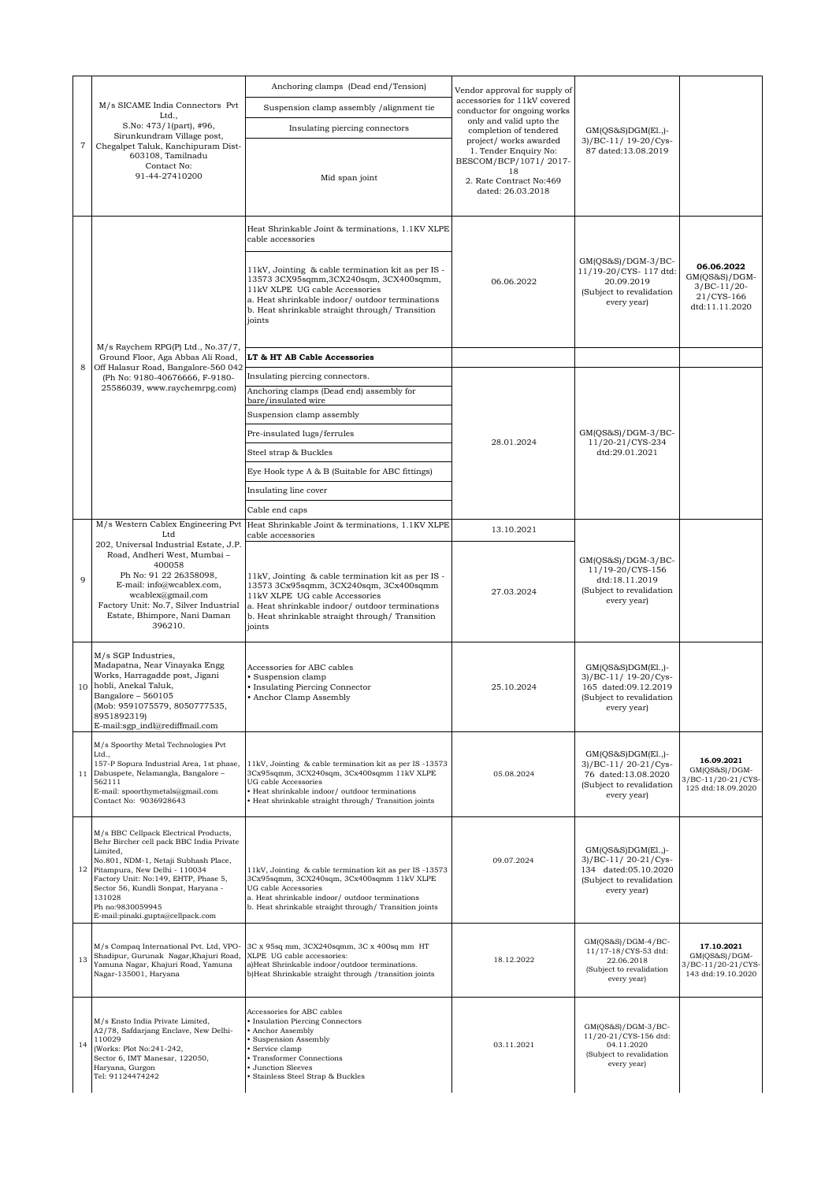|                | M/s SICAME India Connectors Pvt<br>Ltd.,<br>S.No: 473/1(part), #96,<br>Sirunkundram Village post,<br>Chegalpet Taluk, Kanchipuram Dist-<br>603108, Tamilnadu<br>Contact No:<br>91-44-27410200                                                                                                                           | Anchoring clamps (Dead end/Tension)                                                                                                                                                                                                             | Vendor approval for supply of<br>accessories for 11kV covered<br>conductor for ongoing works<br>only and valid upto the<br>completion of tendered<br>project/ works awarded<br>1. Tender Enquiry No:<br>BESCOM/BCP/1071/2017-<br>18<br>2. Rate Contract No:469<br>dated: 26.03.2018 | $GM(QS&S)DGM(E1.,)$ -<br>3)/BC-11/ 19-20/Cys-<br>87 dated:13.08.2019                                           |                                                                              |
|----------------|-------------------------------------------------------------------------------------------------------------------------------------------------------------------------------------------------------------------------------------------------------------------------------------------------------------------------|-------------------------------------------------------------------------------------------------------------------------------------------------------------------------------------------------------------------------------------------------|-------------------------------------------------------------------------------------------------------------------------------------------------------------------------------------------------------------------------------------------------------------------------------------|----------------------------------------------------------------------------------------------------------------|------------------------------------------------------------------------------|
|                |                                                                                                                                                                                                                                                                                                                         | Suspension clamp assembly /alignment tie                                                                                                                                                                                                        |                                                                                                                                                                                                                                                                                     |                                                                                                                |                                                                              |
|                |                                                                                                                                                                                                                                                                                                                         | Insulating piercing connectors                                                                                                                                                                                                                  |                                                                                                                                                                                                                                                                                     |                                                                                                                |                                                                              |
| $\overline{7}$ |                                                                                                                                                                                                                                                                                                                         | Mid span joint                                                                                                                                                                                                                                  |                                                                                                                                                                                                                                                                                     |                                                                                                                |                                                                              |
|                |                                                                                                                                                                                                                                                                                                                         | Heat Shrinkable Joint & terminations, 1.1KV XLPE<br>cable accessories                                                                                                                                                                           | 06.06.2022                                                                                                                                                                                                                                                                          | GM(QS&S)/DGM-3/BC-<br>11/19-20/CYS-117 dtd:<br>20.09.2019<br>(Subject to revalidation<br>every year)           |                                                                              |
|                |                                                                                                                                                                                                                                                                                                                         | 11kV, Jointing & cable termination kit as per IS -<br>13573 3CX95sqmm, 3CX240sqm, 3CX400sqmm,<br>11kV XLPE UG cable Accessories<br>a. Heat shrinkable indoor/ outdoor terminations<br>b. Heat shrinkable straight through/ Transition<br>joints |                                                                                                                                                                                                                                                                                     |                                                                                                                | 06.06.2022<br>GM(QS&S)/DGM-<br>$3/BC-11/20-$<br>21/CYS-166<br>dtd:11.11.2020 |
|                | M/s Raychem RPG(P) Ltd., No.37/7,<br>Ground Floor, Aga Abbas Ali Road,                                                                                                                                                                                                                                                  | LT & HT AB Cable Accessories                                                                                                                                                                                                                    |                                                                                                                                                                                                                                                                                     |                                                                                                                |                                                                              |
| 8              | Off Halasur Road, Bangalore-560 042<br>(Ph No: 9180-40676666, F-9180-                                                                                                                                                                                                                                                   | Insulating piercing connectors.                                                                                                                                                                                                                 |                                                                                                                                                                                                                                                                                     |                                                                                                                |                                                                              |
|                | 25586039, www.raychemrpg.com)                                                                                                                                                                                                                                                                                           | Anchoring clamps (Dead end) assembly for                                                                                                                                                                                                        |                                                                                                                                                                                                                                                                                     |                                                                                                                |                                                                              |
|                |                                                                                                                                                                                                                                                                                                                         | bare/insulated wire<br>Suspension clamp assembly                                                                                                                                                                                                |                                                                                                                                                                                                                                                                                     |                                                                                                                |                                                                              |
|                |                                                                                                                                                                                                                                                                                                                         | Pre-insulated lugs/ferrules                                                                                                                                                                                                                     |                                                                                                                                                                                                                                                                                     | GM(QS&S)/DGM-3/BC-                                                                                             |                                                                              |
|                |                                                                                                                                                                                                                                                                                                                         | Steel strap & Buckles                                                                                                                                                                                                                           | 28.01.2024                                                                                                                                                                                                                                                                          | 11/20-21/CYS-234<br>dtd:29.01.2021                                                                             |                                                                              |
|                |                                                                                                                                                                                                                                                                                                                         | Eye Hook type A & B (Suitable for ABC fittings)                                                                                                                                                                                                 |                                                                                                                                                                                                                                                                                     |                                                                                                                |                                                                              |
|                |                                                                                                                                                                                                                                                                                                                         | Insulating line cover                                                                                                                                                                                                                           |                                                                                                                                                                                                                                                                                     |                                                                                                                |                                                                              |
|                |                                                                                                                                                                                                                                                                                                                         | Cable end caps                                                                                                                                                                                                                                  |                                                                                                                                                                                                                                                                                     |                                                                                                                |                                                                              |
|                | M/s Western Cablex Engineering Pvt                                                                                                                                                                                                                                                                                      | Heat Shrinkable Joint & terminations, 1.1KV XLPE                                                                                                                                                                                                | 13.10.2021                                                                                                                                                                                                                                                                          |                                                                                                                |                                                                              |
|                | Ltd<br>202, Universal Industrial Estate, J.P.                                                                                                                                                                                                                                                                           | cable accessories                                                                                                                                                                                                                               |                                                                                                                                                                                                                                                                                     |                                                                                                                |                                                                              |
| 9              | Road, Andheri West, Mumbai -<br>400058<br>Ph No: 91 22 26358098,<br>E-mail: info@wcablex.com,                                                                                                                                                                                                                           | 11kV, Jointing & cable termination kit as per IS -<br>13573 3Cx95sqmm, 3CX240sqm, 3Cx400sqmm                                                                                                                                                    | 27.03.2024                                                                                                                                                                                                                                                                          | GM(QS&S)/DGM-3/BC-<br>11/19-20/CYS-156<br>dtd:18.11.2019<br>(Subject to revalidation<br>every year)            |                                                                              |
|                | wcablex@gmail.com<br>Factory Unit: No.7, Silver Industrial<br>Estate, Bhimpore, Nani Daman<br>396210.                                                                                                                                                                                                                   | 11kV XLPE UG cable Accessories<br>a. Heat shrinkable indoor/ outdoor terminations<br>b. Heat shrinkable straight through/ Transition<br>joints                                                                                                  |                                                                                                                                                                                                                                                                                     |                                                                                                                |                                                                              |
|                | M/s SGP Industries,<br>Madapatna, Near Vinayaka Engg<br>Works, Harragadde post, Jigani<br>10 hobli, Anekal Taluk,<br>Bangalore - 560105<br>(Mob: 9591075579, 8050777535,<br>8951892319)<br>E-mail:sgp_indl@rediffmail.com                                                                                               | Accessories for ABC cables<br>· Suspension clamp<br>• Insulating Piercing Connector<br>• Anchor Clamp Assembly                                                                                                                                  | 25.10.2024                                                                                                                                                                                                                                                                          | $GM(QS&S)DGM(E1,$ -<br>3)/BC-11/ 19-20/Cys-<br>165 dated:09.12.2019<br>(Subject to revalidation<br>every year) |                                                                              |
| 11             | M/s Spoorthy Metal Technologies Pvt<br>Ltd.,<br>157-P Sopura Industrial Area, 1st phase,<br>Dabuspete, Nelamangla, Bangalore -<br>562111<br>E-mail: spoorthymetals@gmail.com<br>Contact No: 9036928643                                                                                                                  | 11kV, Jointing & cable termination kit as per IS-13573<br>3Cx95sqmm, 3CX240sqm, 3Cx400sqmm 11kV XLPE<br>UG cable Accessories<br>· Heat shrinkable indoor/ outdoor terminations<br>· Heat shrinkable straight through/ Transition joints         | 05.08.2024                                                                                                                                                                                                                                                                          | GM(OS&S)DGM(El.,)-<br>3)/BC-11/20-21/Cys-<br>76 dated:13.08.2020<br>(Subject to revalidation<br>every year)    | 16.09.2021<br>$GM(QSSAS)/DGM-$<br>3/BC-11/20-21/CYS-<br>125 dtd:18.09.2020   |
|                |                                                                                                                                                                                                                                                                                                                         |                                                                                                                                                                                                                                                 |                                                                                                                                                                                                                                                                                     |                                                                                                                |                                                                              |
| 12             | M/s BBC Cellpack Electrical Products,<br>Behr Bircher cell pack BBC India Private<br>Limited,<br>No.801, NDM-1, Netaji Subhash Place,<br>Pitampura, New Delhi - 110034<br>Factory Unit: No:149, EHTP, Phase 5,<br>Sector 56, Kundli Sonpat, Haryana -<br>131028<br>Ph no:9830059945<br>E-mail:pinaki.gupta@cellpack.com | 11kV, Jointing & cable termination kit as per IS-13573<br>3Cx95sqmm, 3CX240sqm, 3Cx400sqmm 11kV XLPE<br>UG cable Accessories<br>a. Heat shrinkable indoor/ outdoor terminations<br>b. Heat shrinkable straight through/ Transition joints       | 09.07.2024                                                                                                                                                                                                                                                                          | $GM(QS&S)DGM(E1.)$ -<br>3)/BC-11/20-21/Cys-<br>134 dated:05.10.2020<br>(Subject to revalidation<br>every year) |                                                                              |
| 13             | M/s Compaq International Pvt. Ltd, VPO-<br>Shadipur, Gurunak Nagar, Khajuri Road,<br>Yamuna Nagar, Khajuri Road, Yamuna                                                                                                                                                                                                 | 3C x 95sq mm, 3CX240sqmm, 3C x 400sq mm HT<br>XLPE UG cable accessories:<br>a)Heat Shrinkable indoor/outdoor terminations.                                                                                                                      | 18.12.2022                                                                                                                                                                                                                                                                          | GM(QS&S)/DGM-4/BC-<br>11/17-18/CYS-53 dtd:<br>22.06.2018                                                       | 17.10.2021<br>$GM(QS&S)/DGM-$<br>3/BC-11/20-21/CYS-                          |
|                | Nagar-135001, Haryana                                                                                                                                                                                                                                                                                                   | b)Heat Shrinkable straight through /transition joints                                                                                                                                                                                           |                                                                                                                                                                                                                                                                                     | (Subject to revalidation<br>every year)                                                                        | 143 dtd:19.10.2020                                                           |
| 14             | M/s Ensto India Private Limited,<br>A2/78, Safdarjang Enclave, New Delhi-<br>110029<br>(Works: Plot No:241-242,<br>Sector 6, IMT Manesar, 122050,<br>Haryana, Gurgon<br>Tel: 91124474242                                                                                                                                | Accessories for ABC cables<br>• Insulation Piercing Connectors<br>Anchor Assembly<br>Suspension Assembly<br>Service clamp<br>Transformer Connections<br><b>Junction Sleeves</b><br>Stainless Steel Strap & Buckles                              | 03.11.2021                                                                                                                                                                                                                                                                          | GM(QS&S)/DGM-3/BC-<br>11/20-21/CYS-156 dtd:<br>04.11.2020<br>(Subject to revalidation<br>every year)           |                                                                              |
|                |                                                                                                                                                                                                                                                                                                                         |                                                                                                                                                                                                                                                 |                                                                                                                                                                                                                                                                                     |                                                                                                                |                                                                              |